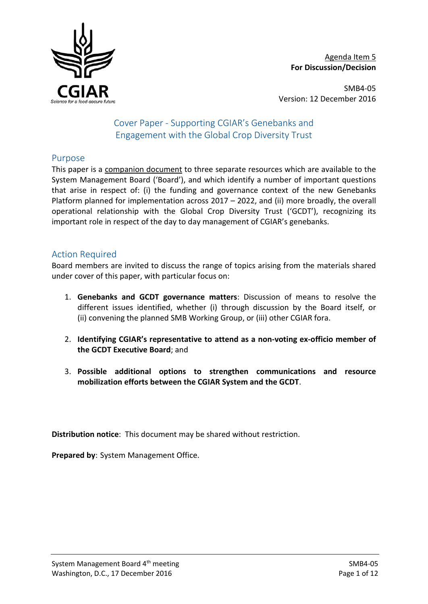

Agenda Item 5 **For Discussion/Decision**

SMB4-05 Version: 12 December 2016

# Cover Paper - Supporting CGIAR's Genebanks and Engagement with the Global Crop Diversity Trust

## Purpose

This paper is a companion document to three separate resources which are available to the System Management Board ('Board'), and which identify a number of important questions that arise in respect of: (i) the funding and governance context of the new Genebanks Platform planned for implementation across 2017 – 2022, and (ii) more broadly, the overall operational relationship with the Global Crop Diversity Trust ('GCDT'), recognizing its important role in respect of the day to day management of CGIAR's genebanks.

## Action Required

Board members are invited to discuss the range of topics arising from the materials shared under cover of this paper, with particular focus on:

- 1. **Genebanks and GCDT governance matters**: Discussion of means to resolve the different issues identified, whether (i) through discussion by the Board itself, or (ii) convening the planned SMB Working Group, or (iii) other CGIAR fora.
- 2. **Identifying CGIAR's representative to attend as a non-voting ex-officio member of the GCDT Executive Board**; and
- 3. **Possible additional options to strengthen communications and resource mobilization efforts between the CGIAR System and the GCDT**.

**Distribution notice**: This document may be shared without restriction.

**Prepared by**: System Management Office.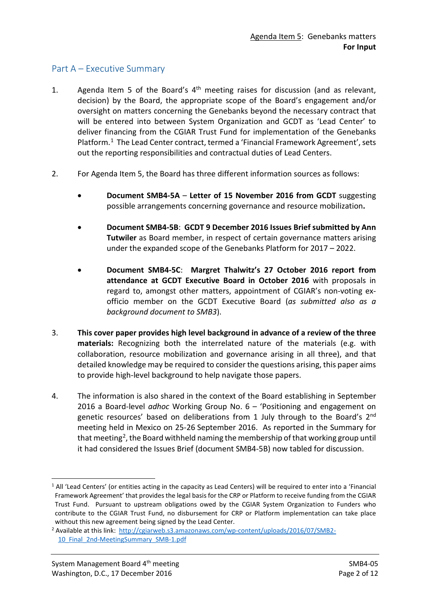## Part A – Executive Summary

- 1. Agenda Item 5 of the Board's  $4<sup>th</sup>$  meeting raises for discussion (and as relevant, decision) by the Board, the appropriate scope of the Board's engagement and/or oversight on matters concerning the Genebanks beyond the necessary contract that will be entered into between System Organization and GCDT as 'Lead Center' to deliver financing from the CGIAR Trust Fund for implementation of the Genebanks Platform.[1](#page-1-0) The Lead Center contract, termed a 'Financial Framework Agreement', sets out the reporting responsibilities and contractual duties of Lead Centers.
- 2. For Agenda Item 5, the Board has three different information sources as follows:
	- **Document SMB4-5A Letter of 15 November 2016 from GCDT** suggesting possible arrangements concerning governance and resource mobilization**.**
	- **Document SMB4-5B**: **GCDT 9 December 2016 Issues Brief submitted by Ann Tutwiler** as Board member, in respect of certain governance matters arising under the expanded scope of the Genebanks Platform for 2017 – 2022.
	- **Document SMB4-5C**: **Margret Thalwitz's 27 October 2016 report from attendance at GCDT Executive Board in October 2016** with proposals in regard to, amongst other matters, appointment of CGIAR's non-voting exofficio member on the GCDT Executive Board (*as submitted also as a background document to SMB3*).
- 3. **This cover paper provides high level background in advance of a review of the three materials:** Recognizing both the interrelated nature of the materials (e.g. with collaboration, resource mobilization and governance arising in all three), and that detailed knowledge may be required to consider the questions arising, this paper aims to provide high-level background to help navigate those papers.
- 4. The information is also shared in the context of the Board establishing in September 2016 a Board-level *adhoc* Working Group No. 6 – 'Positioning and engagement on genetic resources' based on deliberations from 1 July through to the Board's 2<sup>nd</sup> meeting held in Mexico on 25-26 September 2016. As reported in the Summary for that meeting<sup>2</sup>, the Board withheld naming the membership of that working group until it had considered the Issues Brief (document SMB4-5B) now tabled for discussion.

<span id="page-1-0"></span> <sup>1</sup> All 'Lead Centers' (or entities acting in the capacity as Lead Centers) will be required to enter into a 'Financial Framework Agreement' that provides the legal basis for the CRP or Platform to receive funding from the CGIAR Trust Fund. Pursuant to upstream obligations owed by the CGIAR System Organization to Funders who contribute to the CGIAR Trust Fund, no disbursement for CRP or Platform implementation can take place without this new agreement being signed by the Lead Center.

<span id="page-1-1"></span><sup>&</sup>lt;sup>2</sup> Available at this link: [http://cgiarweb.s3.amazonaws.com/wp-content/uploads/2016/07/SMB2-](http://cgiarweb.s3.amazonaws.com/wp-content/uploads/2016/07/SMB2-10_Final_2nd-MeetingSummary_SMB-1.pdf) 10 Final 2nd-MeetingSummary SMB-1.pdf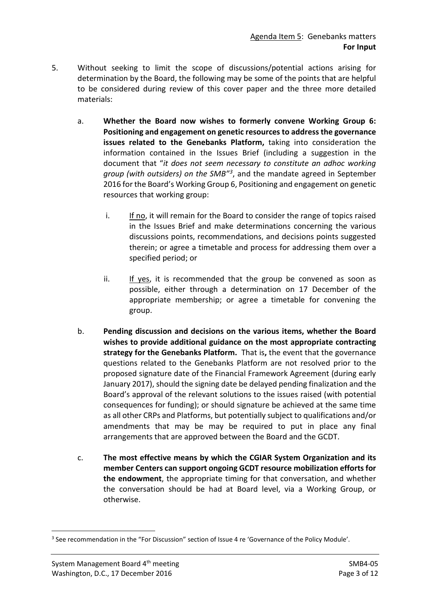- 5. Without seeking to limit the scope of discussions/potential actions arising for determination by the Board, the following may be some of the points that are helpful to be considered during review of this cover paper and the three more detailed materials:
	- a. **Whether the Board now wishes to formerly convene Working Group 6: Positioning and engagement on genetic resources to address the governance issues related to the Genebanks Platform,** taking into consideration the information contained in the Issues Brief (including a suggestion in the document that "*it does not seem necessary to constitute an adhoc working group (with outsiders) on the SMB"[3](#page-2-0)*, and the mandate agreed in September 2016 for the Board's Working Group 6, Positioning and engagement on genetic resources that working group:
		- i. If no, it will remain for the Board to consider the range of topics raised in the Issues Brief and make determinations concerning the various discussions points, recommendations, and decisions points suggested therein; or agree a timetable and process for addressing them over a specified period; or
		- ii. If yes, it is recommended that the group be convened as soon as possible, either through a determination on 17 December of the appropriate membership; or agree a timetable for convening the group.
	- b. **Pending discussion and decisions on the various items, whether the Board wishes to provide additional guidance on the most appropriate contracting strategy for the Genebanks Platform.** That is**,** the event that the governance questions related to the Genebanks Platform are not resolved prior to the proposed signature date of the Financial Framework Agreement (during early January 2017), should the signing date be delayed pending finalization and the Board's approval of the relevant solutions to the issues raised (with potential consequences for funding); or should signature be achieved at the same time as all other CRPs and Platforms, but potentially subject to qualifications and/or amendments that may be may be required to put in place any final arrangements that are approved between the Board and the GCDT.
	- c. **The most effective means by which the CGIAR System Organization and its member Centers can support ongoing GCDT resource mobilization efforts for the endowment**, the appropriate timing for that conversation, and whether the conversation should be had at Board level, via a Working Group, or otherwise.

<span id="page-2-0"></span><sup>&</sup>lt;sup>3</sup> See recommendation in the "For Discussion" section of Issue 4 re 'Governance of the Policy Module'.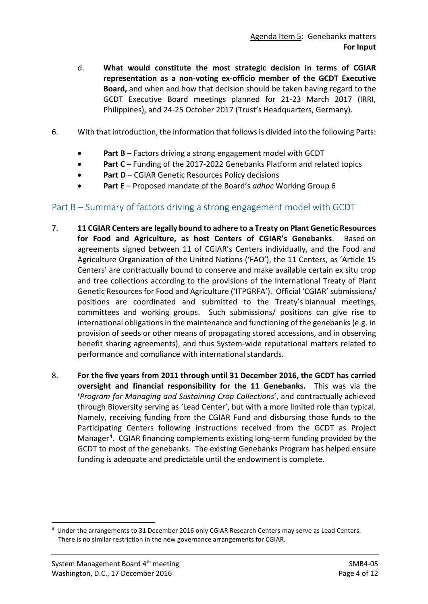- d. **What would constitute the most strategic decision in terms of CGIAR representation as a non-voting ex-officio member of the GCDT Executive Board,** and when and how that decision should be taken having regard to the GCDT Executive Board meetings planned for 21-23 March 2017 (IRRI, Philippines), and 24-25 October 2017 (Trust's Headquarters, Germany).
- 6. With that introduction, the information that follows is divided into the following Parts:
	- **Part B** Factors driving a strong engagement model with GCDT
	- **Part C** Funding of the 2017-2022 Genebanks Platform and related topics
	- Part D CGIAR Genetic Resources Policy decisions
	- **Part E** Proposed mandate of the Board's *adhoc* Working Group 6

## Part B – Summary of factors driving a strong engagement model with GCDT

- 7. **11 CGIAR Centers are legally bound to adhere to a Treaty on Plant Genetic Resources for Food and Agriculture, as host Centers of CGIAR's Genebanks**. Based on agreements signed between 11 of CGIAR's Centers individually, and the Food and Agriculture Organization of the United Nations ('FAO'), the 11 Centers, as 'Article 15 Centers' are contractually bound to conserve and make available certain ex situ crop and tree collections according to the provisions of the International Treaty of Plant Genetic Resources for Food and Agriculture ('ITPGRFA'). Official 'CGIAR' submissions/ positions are coordinated and submitted to the Treaty's biannual meetings, committees and working groups. Such submissions/ positions can give rise to international obligations in the maintenance and functioning of the genebanks (e.g. in provision of seeds or other means of propagating stored accessions, and in observing benefit sharing agreements), and thus System-wide reputational matters related to performance and compliance with international standards.
- 8. **For the five years from 2011 through until 31 December 2016, the GCDT has carried oversight and financial responsibility for the 11 Genebanks.** This was via the **'***Program for Managing and Sustaining Crop Collections*', and contractually achieved through Bioversity serving as 'Lead Center', but with a more limited role than typical. Namely, receiving funding from the CGIAR Fund and disbursing those funds to the Participating Centers following instructions received from the GCDT as Project Manage[r4](#page-3-0). CGIAR financing complements existing long-term funding provided by the GCDT to most of the genebanks. The existing Genebanks Program has helped ensure funding is adequate and predictable until the endowment is complete.

<span id="page-3-0"></span> $\frac{1}{4}$  Under the arrangements to 31 December 2016 only CGIAR Research Centers may serve as Lead Centers. There is no similar restriction in the new governance arrangements for CGIAR.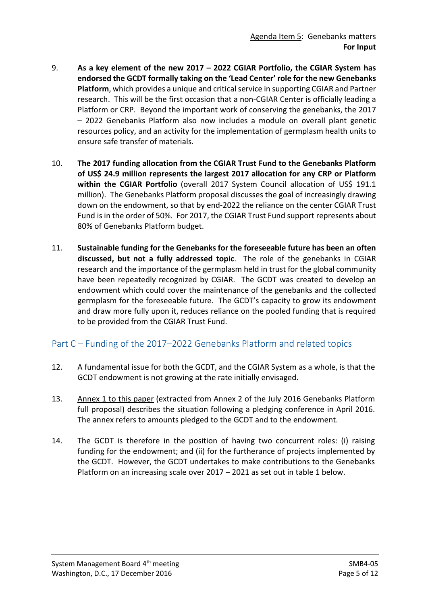- 9. **As a key element of the new 2017 – 2022 CGIAR Portfolio, the CGIAR System has endorsed the GCDT formally taking on the 'Lead Center' role for the new Genebanks Platform**, which provides a unique and critical service in supporting CGIAR and Partner research. This will be the first occasion that a non-CGIAR Center is officially leading a Platform or CRP. Beyond the important work of conserving the genebanks, the 2017 – 2022 Genebanks Platform also now includes a module on overall plant genetic resources policy, and an activity for the implementation of germplasm health units to ensure safe transfer of materials.
- 10. **The 2017 funding allocation from the CGIAR Trust Fund to the Genebanks Platform of US\$ 24.9 million represents the largest 2017 allocation for any CRP or Platform**  within the CGIAR Portfolio (overall 2017 System Council allocation of US\$ 191.1 million). The Genebanks Platform proposal discusses the goal of increasingly drawing down on the endowment, so that by end-2022 the reliance on the center CGIAR Trust Fund is in the order of 50%. For 2017, the CGIAR Trust Fund support represents about 80% of Genebanks Platform budget.
- 11. **Sustainable funding for the Genebanks for the foreseeable future has been an often discussed, but not a fully addressed topic**. The role of the genebanks in CGIAR research and the importance of the germplasm held in trust for the global community have been repeatedly recognized by CGIAR. The GCDT was created to develop an endowment which could cover the maintenance of the genebanks and the collected germplasm for the foreseeable future. The GCDT's capacity to grow its endowment and draw more fully upon it, reduces reliance on the pooled funding that is required to be provided from the CGIAR Trust Fund.

## Part C – Funding of the 2017–2022 Genebanks Platform and related topics

- 12. A fundamental issue for both the GCDT, and the CGIAR System as a whole, is that the GCDT endowment is not growing at the rate initially envisaged.
- 13. Annex 1 to this paper (extracted from Annex 2 of the July 2016 Genebanks Platform full proposal) describes the situation following a pledging conference in April 2016. The annex refers to amounts pledged to the GCDT and to the endowment.
- 14. The GCDT is therefore in the position of having two concurrent roles: (i) raising funding for the endowment; and (ii) for the furtherance of projects implemented by the GCDT. However, the GCDT undertakes to make contributions to the Genebanks Platform on an increasing scale over 2017 – 2021 as set out in table 1 below.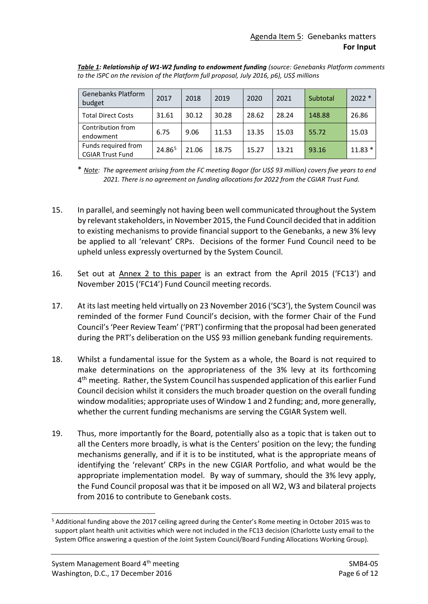| <b>Genebanks Platform</b><br>budget            | 2017   | 2018  | 2019  | 2020  | 2021  | Subtotal | $2022*$  |
|------------------------------------------------|--------|-------|-------|-------|-------|----------|----------|
| <b>Total Direct Costs</b>                      | 31.61  | 30.12 | 30.28 | 28.62 | 28.24 | 148.88   | 26.86    |
| Contribution from<br>endowment                 | 6.75   | 9.06  | 11.53 | 13.35 | 15.03 | 55.72    | 15.03    |
| Funds required from<br><b>CGIAR Trust Fund</b> | 24.865 | 21.06 | 18.75 | 15.27 | 13.21 | 93.16    | $11.83*$ |

*Table 1: Relationship of W1-W2 funding to endowment funding (source: Genebanks Platform comments to the ISPC on the revision of the Platform full proposal, July 2016, p6), US\$ millions*

\* *Note: The agreement arising from the FC meeting Bogor (for US\$ 93 million) covers five years to end 2021. There is no agreement on funding allocations for 2022 from the CGIAR Trust Fund.*

- 15. In parallel, and seemingly not having been well communicated throughout the System by relevant stakeholders, in November 2015, the Fund Council decided that in addition to existing mechanisms to provide financial support to the Genebanks, a new 3% levy be applied to all 'relevant' CRPs. Decisions of the former Fund Council need to be upheld unless expressly overturned by the System Council.
- 16. Set out at Annex 2 to this paper is an extract from the April 2015 ('FC13') and November 2015 ('FC14') Fund Council meeting records.
- 17. At its last meeting held virtually on 23 November 2016 ('SC3'), the System Council was reminded of the former Fund Council's decision, with the former Chair of the Fund Council's 'Peer Review Team' ('PRT') confirming that the proposal had been generated during the PRT's deliberation on the US\$ 93 million genebank funding requirements.
- 18. Whilst a fundamental issue for the System as a whole, the Board is not required to make determinations on the appropriateness of the 3% levy at its forthcoming 4<sup>th</sup> meeting. Rather, the System Council has suspended application of this earlier Fund Council decision whilst it considers the much broader question on the overall funding window modalities; appropriate uses of Window 1 and 2 funding; and, more generally, whether the current funding mechanisms are serving the CGIAR System well.
- 19. Thus, more importantly for the Board, potentially also as a topic that is taken out to all the Centers more broadly, is what is the Centers' position on the levy; the funding mechanisms generally, and if it is to be instituted, what is the appropriate means of identifying the 'relevant' CRPs in the new CGIAR Portfolio, and what would be the appropriate implementation model. By way of summary, should the 3% levy apply, the Fund Council proposal was that it be imposed on all W2, W3 and bilateral projects from 2016 to contribute to Genebank costs.

<span id="page-5-0"></span> <sup>5</sup> Additional funding above the 2017 ceiling agreed during the Center's Rome meeting in October 2015 was to support plant health unit activities which were not included in the FC13 decision (Charlotte Lusty email to the System Office answering a question of the Joint System Council/Board Funding Allocations Working Group).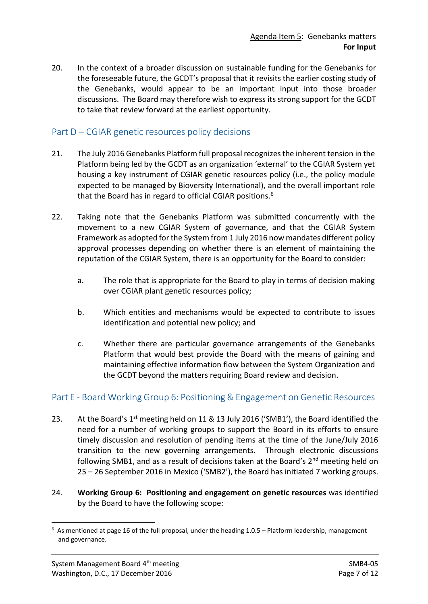20. In the context of a broader discussion on sustainable funding for the Genebanks for the foreseeable future, the GCDT's proposal that it revisits the earlier costing study of the Genebanks, would appear to be an important input into those broader discussions. The Board may therefore wish to express its strong support for the GCDT to take that review forward at the earliest opportunity.

## Part D – CGIAR genetic resources policy decisions

- 21. The July 2016 Genebanks Platform full proposal recognizes the inherent tension in the Platform being led by the GCDT as an organization 'external' to the CGIAR System yet housing a key instrument of CGIAR genetic resources policy (i.e., the policy module expected to be managed by Bioversity International), and the overall important role that the Board has in regard to official CGIAR positions.<sup>[6](#page-6-0)</sup>
- 22. Taking note that the Genebanks Platform was submitted concurrently with the movement to a new CGIAR System of governance, and that the CGIAR System Framework as adopted for the System from 1 July 2016 now mandates different policy approval processes depending on whether there is an element of maintaining the reputation of the CGIAR System, there is an opportunity for the Board to consider:
	- a. The role that is appropriate for the Board to play in terms of decision making over CGIAR plant genetic resources policy;
	- b. Which entities and mechanisms would be expected to contribute to issues identification and potential new policy; and
	- c. Whether there are particular governance arrangements of the Genebanks Platform that would best provide the Board with the means of gaining and maintaining effective information flow between the System Organization and the GCDT beyond the matters requiring Board review and decision.

## Part E - Board Working Group 6: Positioning & Engagement on Genetic Resources

- 23. At the Board's 1<sup>st</sup> meeting held on 11 & 13 July 2016 ('SMB1'), the Board identified the need for a number of working groups to support the Board in its efforts to ensure timely discussion and resolution of pending items at the time of the June/July 2016 transition to the new governing arrangements. Through electronic discussions following SMB1, and as a result of decisions taken at the Board's 2<sup>nd</sup> meeting held on 25 – 26 September 2016 in Mexico ('SMB2'), the Board has initiated 7 working groups.
- 24. **Working Group 6: Positioning and engagement on genetic resources** was identified by the Board to have the following scope:

<span id="page-6-0"></span><sup>-&</sup>lt;br>6  $6$  As mentioned at page 16 of the full proposal, under the heading 1.0.5 – Platform leadership, management and governance.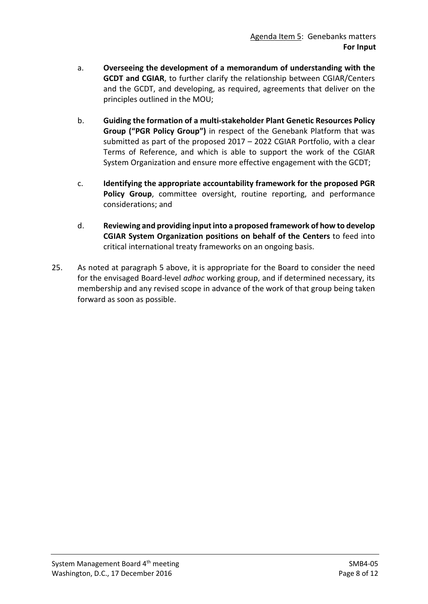- a. **Overseeing the development of a memorandum of understanding with the GCDT and CGIAR**, to further clarify the relationship between CGIAR/Centers and the GCDT, and developing, as required, agreements that deliver on the principles outlined in the MOU;
- b. **Guiding the formation of a multi-stakeholder Plant Genetic Resources Policy Group ("PGR Policy Group")** in respect of the Genebank Platform that was submitted as part of the proposed 2017 – 2022 CGIAR Portfolio, with a clear Terms of Reference, and which is able to support the work of the CGIAR System Organization and ensure more effective engagement with the GCDT;
- c. **Identifying the appropriate accountability framework for the proposed PGR Policy Group**, committee oversight, routine reporting, and performance considerations; and
- d. **Reviewing and providing input into a proposed framework of how to develop CGIAR System Organization positions on behalf of the Centers** to feed into critical international treaty frameworks on an ongoing basis.
- 25. As noted at paragraph 5 above, it is appropriate for the Board to consider the need for the envisaged Board-level *adhoc* working group, and if determined necessary, its membership and any revised scope in advance of the work of that group being taken forward as soon as possible.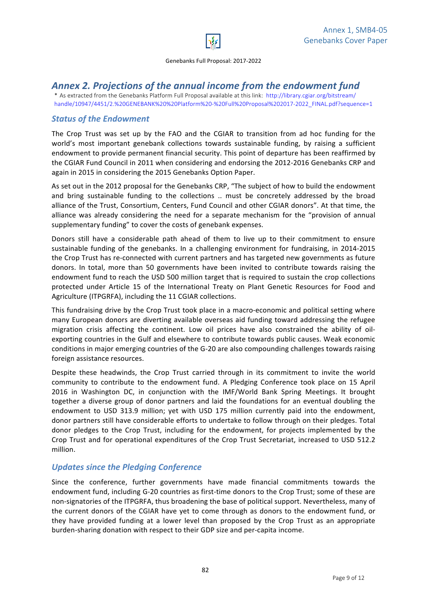

Genebanks Full Proposal: 2017-2022

# Annex 2. Projections of the annual income from the endowment fund

\* As extracted from the Genebanks Platform Full Proposal available at this link: http://library.cgiar.org/bitstream/ handle/10947/4451/2.%20GENEBANK%20%20Platform%20-%20Full%20Proposal%202017-2022\_FINAL.pdf?sequence=1

#### **Status of the Endowment**

The Crop Trust was set up by the FAO and the CGIAR to transition from ad hoc funding for the world's most important genebank collections towards sustainable funding, by raising a sufficient endowment to provide permanent financial security. This point of departure has been reaffirmed by the CGIAR Fund Council in 2011 when considering and endorsing the 2012-2016 Genebanks CRP and again in 2015 in considering the 2015 Genebanks Option Paper.

As set out in the 2012 proposal for the Genebanks CRP, "The subject of how to build the endowment and bring sustainable funding to the collections .. must be concretely addressed by the broad alliance of the Trust, Consortium, Centers, Fund Council and other CGIAR donors". At that time, the alliance was already considering the need for a separate mechanism for the "provision of annual supplementary funding" to cover the costs of genebank expenses.

Donors still have a considerable path ahead of them to live up to their commitment to ensure sustainable funding of the genebanks. In a challenging environment for fundraising, in 2014-2015 the Crop Trust has re-connected with current partners and has targeted new governments as future donors. In total, more than 50 governments have been invited to contribute towards raising the endowment fund to reach the USD 500 million target that is required to sustain the crop collections protected under Article 15 of the International Treaty on Plant Genetic Resources for Food and Agriculture (ITPGRFA), including the 11 CGIAR collections.

This fundraising drive by the Crop Trust took place in a macro-economic and political setting where many European donors are diverting available overseas aid funding toward addressing the refugee migration crisis affecting the continent. Low oil prices have also constrained the ability of oilexporting countries in the Gulf and elsewhere to contribute towards public causes. Weak economic conditions in major emerging countries of the G-20 are also compounding challenges towards raising foreign assistance resources.

Despite these headwinds, the Crop Trust carried through in its commitment to invite the world community to contribute to the endowment fund. A Pledging Conference took place on 15 April 2016 in Washington DC, in conjunction with the IMF/World Bank Spring Meetings. It brought together a diverse group of donor partners and laid the foundations for an eventual doubling the endowment to USD 313.9 million; yet with USD 175 million currently paid into the endowment, donor partners still have considerable efforts to undertake to follow through on their pledges. Total donor pledges to the Crop Trust, including for the endowment, for projects implemented by the Crop Trust and for operational expenditures of the Crop Trust Secretariat, increased to USD 512.2 million. 

#### *Updates since the Pledging Conference*

Since the conference, further governments have made financial commitments towards the endowment fund, including G-20 countries as first-time donors to the Crop Trust; some of these are non-signatories of the ITPGRFA, thus broadening the base of political support. Nevertheless, many of the current donors of the CGIAR have yet to come through as donors to the endowment fund, or they have provided funding at a lower level than proposed by the Crop Trust as an appropriate burden-sharing donation with respect to their GDP size and per-capita income.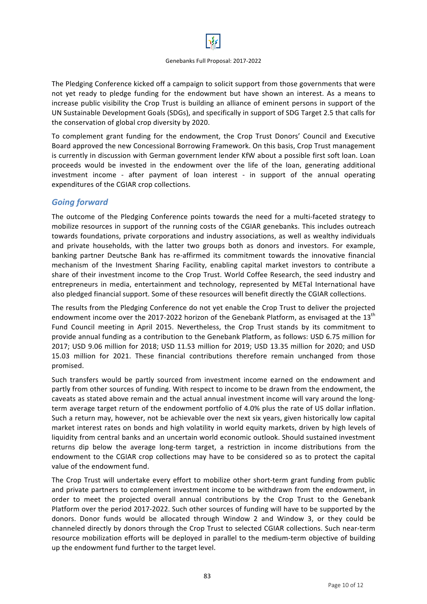

The Pledging Conference kicked off a campaign to solicit support from those governments that were not yet ready to pledge funding for the endowment but have shown an interest. As a means to increase public visibility the Crop Trust is building an alliance of eminent persons in support of the UN Sustainable Development Goals (SDGs), and specifically in support of SDG Target 2.5 that calls for the conservation of global crop diversity by 2020.

To complement grant funding for the endowment, the Crop Trust Donors' Council and Executive Board approved the new Concessional Borrowing Framework. On this basis, Crop Trust management is currently in discussion with German government lender KfW about a possible first soft loan. Loan proceeds would be invested in the endowment over the life of the loan, generating additional investment income - after payment of loan interest - in support of the annual operating expenditures of the CGIAR crop collections.

#### *Going forward*

The outcome of the Pledging Conference points towards the need for a multi-faceted strategy to mobilize resources in support of the running costs of the CGIAR genebanks. This includes outreach towards foundations, private corporations and industry associations, as well as wealthy individuals and private households, with the latter two groups both as donors and investors. For example, banking partner Deutsche Bank has re-affirmed its commitment towards the innovative financial mechanism of the Investment Sharing Facility, enabling capital market investors to contribute a share of their investment income to the Crop Trust. World Coffee Research, the seed industry and entrepreneurs in media, entertainment and technology, represented by METal International have also pledged financial support. Some of these resources will benefit directly the CGIAR collections.

The results from the Pledging Conference do not yet enable the Crop Trust to deliver the projected endowment income over the 2017-2022 horizon of the Genebank Platform, as envisaged at the  $13<sup>th</sup>$ Fund Council meeting in April 2015. Nevertheless, the Crop Trust stands by its commitment to provide annual funding as a contribution to the Genebank Platform, as follows: USD 6.75 million for 2017; USD 9.06 million for 2018; USD 11.53 million for 2019; USD 13.35 million for 2020; and USD 15.03 million for 2021. These financial contributions therefore remain unchanged from those promised. 

Such transfers would be partly sourced from investment income earned on the endowment and partly from other sources of funding. With respect to income to be drawn from the endowment, the caveats as stated above remain and the actual annual investment income will vary around the longterm average target return of the endowment portfolio of 4.0% plus the rate of US dollar inflation. Such a return may, however, not be achievable over the next six years, given historically low capital market interest rates on bonds and high volatility in world equity markets, driven by high levels of liquidity from central banks and an uncertain world economic outlook. Should sustained investment returns dip below the average long-term target, a restriction in income distributions from the endowment to the CGIAR crop collections may have to be considered so as to protect the capital value of the endowment fund.

The Crop Trust will undertake every effort to mobilize other short-term grant funding from public and private partners to complement investment income to be withdrawn from the endowment, in order to meet the projected overall annual contributions by the Crop Trust to the Genebank Platform over the period 2017-2022. Such other sources of funding will have to be supported by the donors. Donor funds would be allocated through Window 2 and Window 3, or they could be channeled directly by donors through the Crop Trust to selected CGIAR collections. Such near-term resource mobilization efforts will be deployed in parallel to the medium-term objective of building up the endowment fund further to the target level.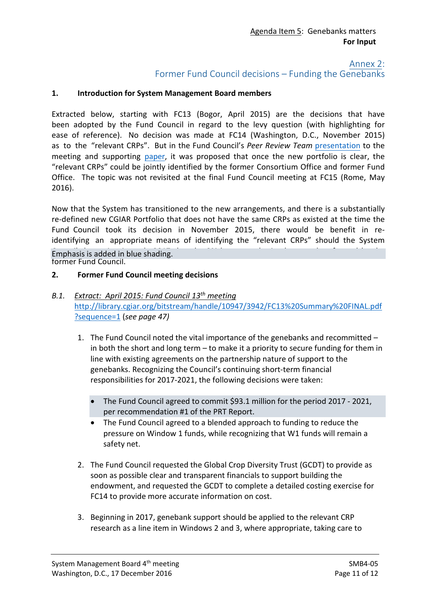#### Annex 2:

Former Fund Council decisions – Funding the Genebanks

#### **1. Introduction for System Management Board members**

Extracted below, starting with FC13 (Bogor, April 2015) are the decisions that have been adopted by the Fund Council in regard to the levy question (with highlighting for ease of reference). No decision was made at FC14 (Washington, D.C., November 2015) as to the "relevant CRPs". But in the Fund Council's *Peer Review Team* [presentation](http://cgiarweb.s3.amazonaws.com/wp-content/uploads/2015/09/Genebanks-PRT-Presentation.pdf) to the meeting and supporting [paper,](http://cgiarweb.s3.amazonaws.com/wp-content/uploads/2015/09/Options-for-funding-core-activities-of-the-CGIAR-genebanks-2017-2021.pdf) it was proposed that once the new portfolio is clear, the "relevant CRPs" could be jointly identified by the former Consortium Office and former Fund Office. The topic was not revisited at the final Fund Council meeting at FC15 (Rome, May 2016).

Now that the System has transitioned to the new arrangements, and there is a substantially re-defined new CGIAR Portfolio that does not have the same CRPs as existed at the time the Fund Council took its decision in November 2015, there would be benefit in reidentifying an appropriate means of identifying the "relevant CRPs" should the System Emphasis is added in blue shading. The 3% levy must be implemented as framed by the 3% levy must be in the 3% levy

former Fund Council.

#### **2. Former Fund Council meeting decisions**

#### *B.1. Extract: April 2015: Fund Council 13th meeting* [http://library.cgiar.org/bitstream/handle/10947/3942/FC13%20Summary%20FINAL.pdf](http://library.cgiar.org/bitstream/handle/10947/3942/FC13%20Summary%20FINAL.pdf?sequence=1) [?sequence=1](http://library.cgiar.org/bitstream/handle/10947/3942/FC13%20Summary%20FINAL.pdf?sequence=1) (*see page 47)*

- 1. The Fund Council noted the vital importance of the genebanks and recommitted in both the short and long term – to make it a priority to secure funding for them in line with existing agreements on the partnership nature of support to the genebanks. Recognizing the Council's continuing short-term financial responsibilities for 2017-2021, the following decisions were taken:
	- The Fund Council agreed to commit \$93.1 million for the period 2017 2021, per recommendation #1 of the PRT Report.
	- The Fund Council agreed to a blended approach to funding to reduce the pressure on Window 1 funds, while recognizing that W1 funds will remain a safety net.
- 2. The Fund Council requested the Global Crop Diversity Trust (GCDT) to provide as soon as possible clear and transparent financials to support building the endowment, and requested the GCDT to complete a detailed costing exercise for FC14 to provide more accurate information on cost.
- 3. Beginning in 2017, genebank support should be applied to the relevant CRP research as a line item in Windows 2 and 3, where appropriate, taking care to